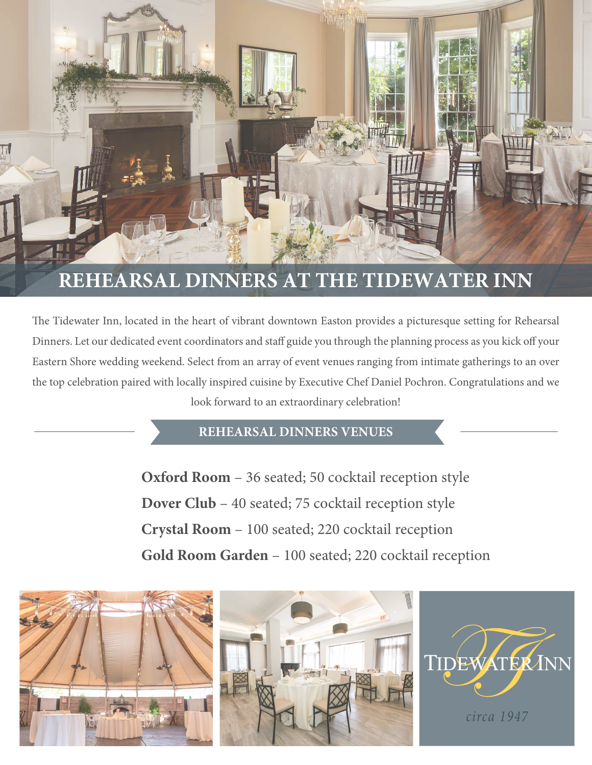

# **REHEARSAL DINNERS AT THE TIDEWATER INN**

The Tidewater Inn, located in the heart of vibrant downtown Easton provides a picturesque setting for Rehearsal Dinners. Let our dedicated event coordinators and staff guide you through the planning process as you kick off your Eastern Shore wedding weekend. Select from an array of event venues ranging from intimate gatherings to an over the top celebration paired with locally inspired cuisine by Executive Chef Daniel Pochron. Congratulations and we look forward to an extraordinary celebration!

### **REHEARSAL DINNERS VENUES**

**Oxford Room** – 36 seated; 50 cocktail reception style **Dover Club** – 40 seated; 75 cocktail reception style **Crystal Room** – 100 seated; 220 cocktail reception **Gold Room Garden** – 100 seated; 220 cocktail reception